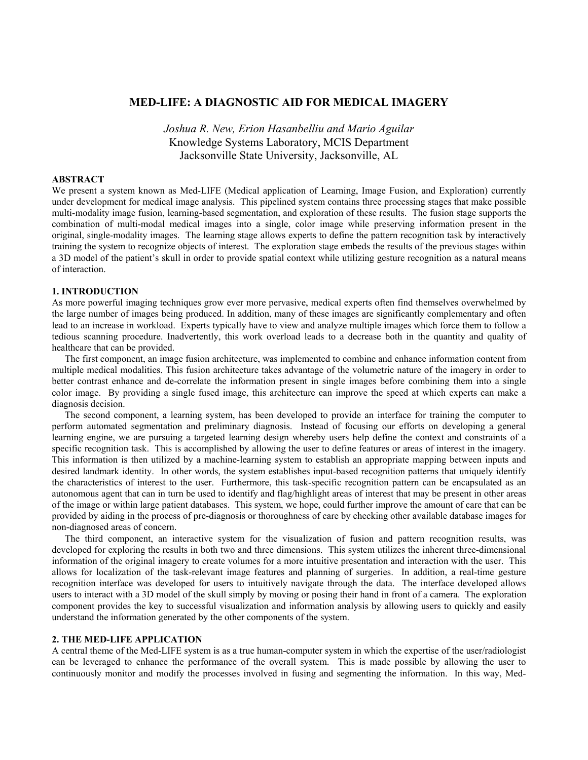# **MED-LIFE: A DIAGNOSTIC AID FOR MEDICAL IMAGERY**

*Joshua R. New, Erion Hasanbelliu and Mario Aguilar*  Knowledge Systems Laboratory, MCIS Department Jacksonville State University, Jacksonville, AL

## **ABSTRACT**

We present a system known as Med-LIFE (Medical application of Learning, Image Fusion, and Exploration) currently under development for medical image analysis. This pipelined system contains three processing stages that make possible multi-modality image fusion, learning-based segmentation, and exploration of these results. The fusion stage supports the combination of multi-modal medical images into a single, color image while preserving information present in the original, single-modality images. The learning stage allows experts to define the pattern recognition task by interactively training the system to recognize objects of interest. The exploration stage embeds the results of the previous stages within a 3D model of the patient's skull in order to provide spatial context while utilizing gesture recognition as a natural means of interaction.

### **1. INTRODUCTION**

As more powerful imaging techniques grow ever more pervasive, medical experts often find themselves overwhelmed by the large number of images being produced. In addition, many of these images are significantly complementary and often lead to an increase in workload. Experts typically have to view and analyze multiple images which force them to follow a tedious scanning procedure. Inadvertently, this work overload leads to a decrease both in the quantity and quality of healthcare that can be provided.

The first component, an image fusion architecture, was implemented to combine and enhance information content from multiple medical modalities. This fusion architecture takes advantage of the volumetric nature of the imagery in order to better contrast enhance and de-correlate the information present in single images before combining them into a single color image. By providing a single fused image, this architecture can improve the speed at which experts can make a diagnosis decision.

The second component, a learning system, has been developed to provide an interface for training the computer to perform automated segmentation and preliminary diagnosis. Instead of focusing our efforts on developing a general learning engine, we are pursuing a targeted learning design whereby users help define the context and constraints of a specific recognition task. This is accomplished by allowing the user to define features or areas of interest in the imagery. This information is then utilized by a machine-learning system to establish an appropriate mapping between inputs and desired landmark identity. In other words, the system establishes input-based recognition patterns that uniquely identify the characteristics of interest to the user. Furthermore, this task-specific recognition pattern can be encapsulated as an autonomous agent that can in turn be used to identify and flag/highlight areas of interest that may be present in other areas of the image or within large patient databases. This system, we hope, could further improve the amount of care that can be provided by aiding in the process of pre-diagnosis or thoroughness of care by checking other available database images for non-diagnosed areas of concern.

The third component, an interactive system for the visualization of fusion and pattern recognition results, was developed for exploring the results in both two and three dimensions. This system utilizes the inherent three-dimensional information of the original imagery to create volumes for a more intuitive presentation and interaction with the user. This allows for localization of the task-relevant image features and planning of surgeries. In addition, a real-time gesture recognition interface was developed for users to intuitively navigate through the data. The interface developed allows users to interact with a 3D model of the skull simply by moving or posing their hand in front of a camera. The exploration component provides the key to successful visualization and information analysis by allowing users to quickly and easily understand the information generated by the other components of the system.

### **2. THE MED-LIFE APPLICATION**

A central theme of the Med-LIFE system is as a true human-computer system in which the expertise of the user/radiologist can be leveraged to enhance the performance of the overall system. This is made possible by allowing the user to continuously monitor and modify the processes involved in fusing and segmenting the information. In this way, Med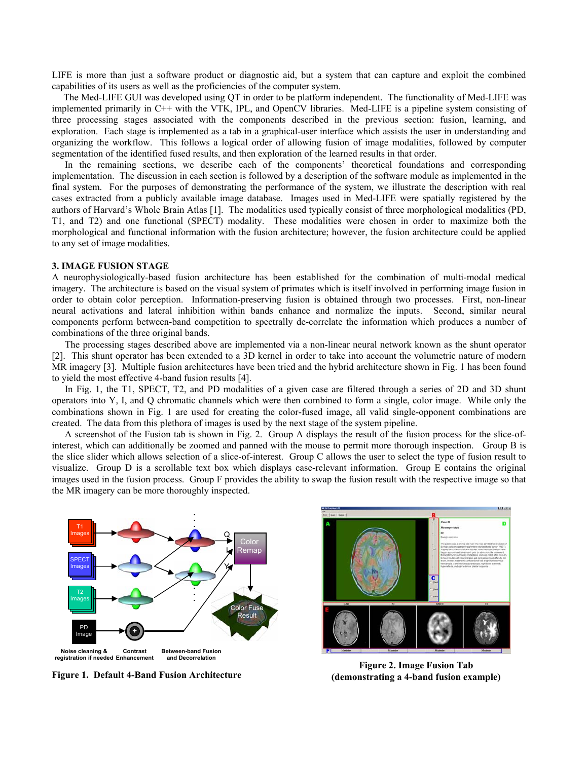LIFE is more than just a software product or diagnostic aid, but a system that can capture and exploit the combined capabilities of its users as well as the proficiencies of the computer system.

The Med-LIFE GUI was developed using QT in order to be platform independent. The functionality of Med-LIFE was implemented primarily in C++ with the VTK, IPL, and OpenCV libraries. Med-LIFE is a pipeline system consisting of three processing stages associated with the components described in the previous section: fusion, learning, and exploration. Each stage is implemented as a tab in a graphical-user interface which assists the user in understanding and organizing the workflow. This follows a logical order of allowing fusion of image modalities, followed by computer segmentation of the identified fused results, and then exploration of the learned results in that order.

In the remaining sections, we describe each of the components' theoretical foundations and corresponding implementation. The discussion in each section is followed by a description of the software module as implemented in the final system. For the purposes of demonstrating the performance of the system, we illustrate the description with real cases extracted from a publicly available image database. Images used in Med-LIFE were spatially registered by the authors of Harvard's Whole Brain Atlas [1]. The modalities used typically consist of three morphological modalities (PD, T1, and T2) and one functional (SPECT) modality. These modalities were chosen in order to maximize both the morphological and functional information with the fusion architecture; however, the fusion architecture could be applied to any set of image modalities.

#### **3. IMAGE FUSION STAGE**

A neurophysiologically-based fusion architecture has been established for the combination of multi-modal medical imagery. The architecture is based on the visual system of primates which is itself involved in performing image fusion in order to obtain color perception. Information-preserving fusion is obtained through two processes. First, non-linear neural activations and lateral inhibition within bands enhance and normalize the inputs. Second, similar neural components perform between-band competition to spectrally de-correlate the information which produces a number of combinations of the three original bands.

The processing stages described above are implemented via a non-linear neural network known as the shunt operator [2]. This shunt operator has been extended to a 3D kernel in order to take into account the volumetric nature of modern MR imagery [3]. Multiple fusion architectures have been tried and the hybrid architecture shown in Fig. 1 has been found to yield the most effective 4-band fusion results [4].

In Fig. 1, the T1, SPECT, T2, and PD modalities of a given case are filtered through a series of 2D and 3D shunt operators into Y, I, and Q chromatic channels which were then combined to form a single, color image. While only the combinations shown in Fig. 1 are used for creating the color-fused image, all valid single-opponent combinations are created. The data from this plethora of images is used by the next stage of the system pipeline.

A screenshot of the Fusion tab is shown in Fig. 2. Group A displays the result of the fusion process for the slice-ofinterest, which can additionally be zoomed and panned with the mouse to permit more thorough inspection. Group B is the slice slider which allows selection of a slice-of-interest. Group C allows the user to select the type of fusion result to visualize. Group D is a scrollable text box which displays case-relevant information. Group E contains the original images used in the fusion process. Group F provides the ability to swap the fusion result with the respective image so that the MR imagery can be more thoroughly inspected.



**Figure 1. Default 4-Band Fusion Architecture** 



**Figure 2. Image Fusion Tab (demonstrating a 4-band fusion example)**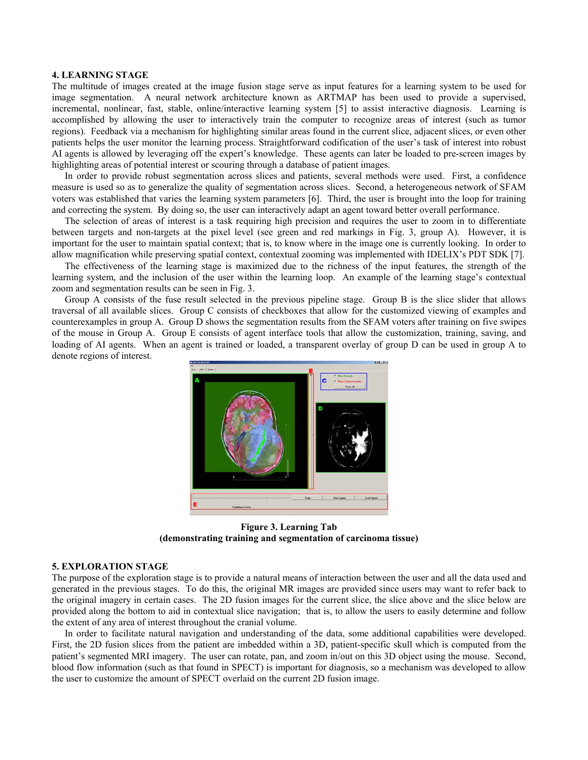#### **4. LEARNING STAGE**

The multitude of images created at the image fusion stage serve as input features for a learning system to be used for image segmentation. A neural network architecture known as ARTMAP has been used to provide a supervised, incremental, nonlinear, fast, stable, online/interactive learning system [5] to assist interactive diagnosis. Learning is accomplished by allowing the user to interactively train the computer to recognize areas of interest (such as tumor regions). Feedback via a mechanism for highlighting similar areas found in the current slice, adjacent slices, or even other patients helps the user monitor the learning process. Straightforward codification of the user's task of interest into robust AI agents is allowed by leveraging off the expert's knowledge. These agents can later be loaded to pre-screen images by highlighting areas of potential interest or scouring through a database of patient images.

In order to provide robust segmentation across slices and patients, several methods were used. First, a confidence measure is used so as to generalize the quality of segmentation across slices. Second, a heterogeneous network of SFAM voters was established that varies the learning system parameters [6]. Third, the user is brought into the loop for training and correcting the system. By doing so, the user can interactively adapt an agent toward better overall performance.

The selection of areas of interest is a task requiring high precision and requires the user to zoom in to differentiate between targets and non-targets at the pixel level (see green and red markings in Fig. 3, group A). However, it is important for the user to maintain spatial context; that is, to know where in the image one is currently looking. In order to allow magnification while preserving spatial context, contextual zooming was implemented with IDELIX's PDT SDK [7].

The effectiveness of the learning stage is maximized due to the richness of the input features, the strength of the learning system, and the inclusion of the user within the learning loop. An example of the learning stage's contextual zoom and segmentation results can be seen in Fig. 3.

Group A consists of the fuse result selected in the previous pipeline stage. Group B is the slice slider that allows traversal of all available slices. Group C consists of checkboxes that allow for the customized viewing of examples and counterexamples in group A. Group D shows the segmentation results from the SFAM voters after training on five swipes of the mouse in Group A. Group E consists of agent interface tools that allow the customization, training, saving, and loading of AI agents. When an agent is trained or loaded, a transparent overlay of group D can be used in group A to denote regions of interest.



**Figure 3. Learning Tab (demonstrating training and segmentation of carcinoma tissue)** 

#### **5. EXPLORATION STAGE**

The purpose of the exploration stage is to provide a natural means of interaction between the user and all the data used and generated in the previous stages. To do this, the original MR images are provided since users may want to refer back to the original imagery in certain cases. The 2D fusion images for the current slice, the slice above and the slice below are provided along the bottom to aid in contextual slice navigation; that is, to allow the users to easily determine and follow the extent of any area of interest throughout the cranial volume.

In order to facilitate natural navigation and understanding of the data, some additional capabilities were developed. First, the 2D fusion slices from the patient are imbedded within a 3D, patient-specific skull which is computed from the patient's segmented MRI imagery. The user can rotate, pan, and zoom in/out on this 3D object using the mouse. Second, blood flow information (such as that found in SPECT) is important for diagnosis, so a mechanism was developed to allow the user to customize the amount of SPECT overlaid on the current 2D fusion image.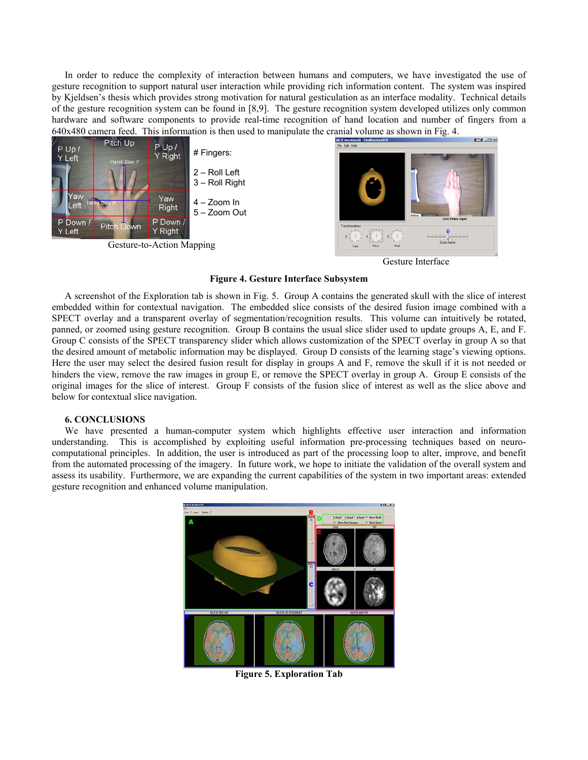In order to reduce the complexity of interaction between humans and computers, we have investigated the use of gesture recognition to support natural user interaction while providing rich information content. The system was inspired by Kjeldsen's thesis which provides strong motivation for natural gesticulation as an interface modality. Technical details of the gesture recognition system can be found in [8,9]. The gesture recognition system developed utilizes only common hardware and software components to provide real-time recognition of hand location and number of fingers from a



Gesture Interface

#### **Figure 4. Gesture Interface Subsystem**

A screenshot of the Exploration tab is shown in Fig. 5. Group A contains the generated skull with the slice of interest embedded within for contextual navigation. The embedded slice consists of the desired fusion image combined with a SPECT overlay and a transparent overlay of segmentation/recognition results. This volume can intuitively be rotated, panned, or zoomed using gesture recognition. Group B contains the usual slice slider used to update groups A, E, and F. Group C consists of the SPECT transparency slider which allows customization of the SPECT overlay in group A so that the desired amount of metabolic information may be displayed. Group D consists of the learning stage's viewing options. Here the user may select the desired fusion result for display in groups A and F, remove the skull if it is not needed or hinders the view, remove the raw images in group E, or remove the SPECT overlay in group A. Group E consists of the original images for the slice of interest. Group F consists of the fusion slice of interest as well as the slice above and below for contextual slice navigation.

#### **6. CONCLUSIONS**

We have presented a human-computer system which highlights effective user interaction and information understanding. This is accomplished by exploiting useful information pre-processing techniques based on neurocomputational principles. In addition, the user is introduced as part of the processing loop to alter, improve, and benefit from the automated processing of the imagery. In future work, we hope to initiate the validation of the overall system and assess its usability. Furthermore, we are expanding the current capabilities of the system in two important areas: extended gesture recognition and enhanced volume manipulation.



**Figure 5. Exploration Tab**